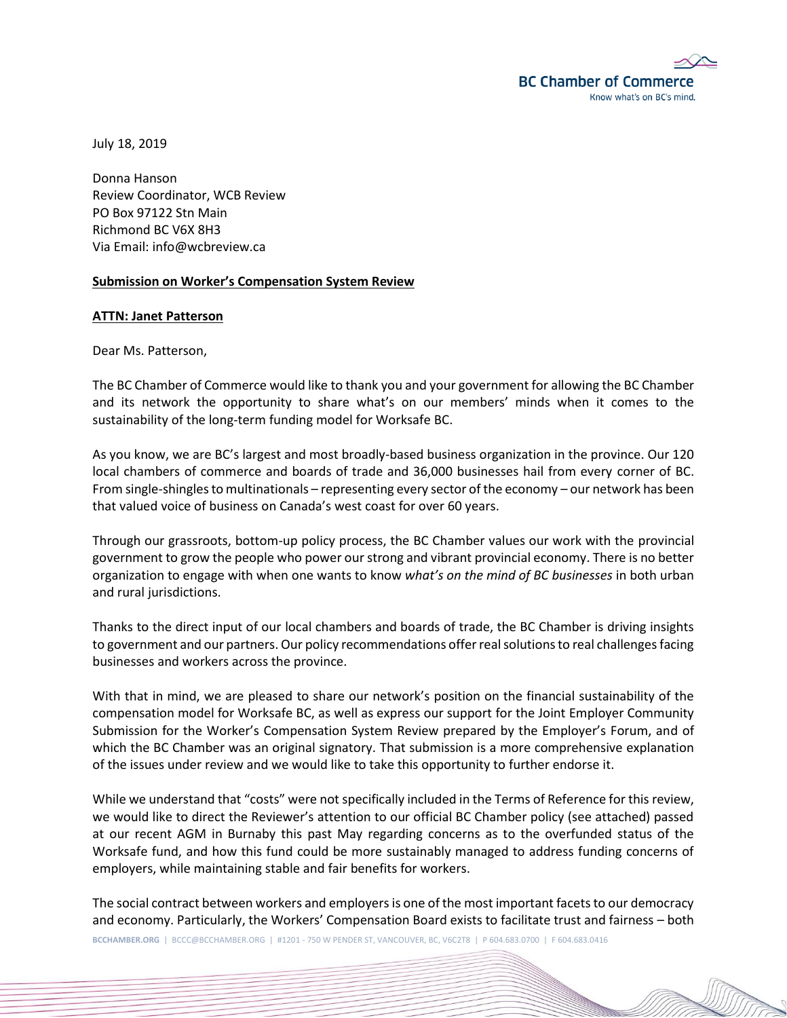

July 18, 2019

Donna Hanson Review Coordinator, WCB Review PO Box 97122 Stn Main Richmond BC V6X 8H3 Via Email: info@wcbreview.ca

# **Submission on Worker's Compensation System Review**

#### **ATTN: Janet Patterson**

Dear Ms. Patterson,

The BC Chamber of Commerce would like to thank you and your government for allowing the BC Chamber and its network the opportunity to share what's on our members' minds when it comes to the sustainability of the long-term funding model for Worksafe BC.

As you know, we are BC's largest and most broadly-based business organization in the province. Our 120 local chambers of commerce and boards of trade and 36,000 businesses hail from every corner of BC. From single-shingles to multinationals – representing every sector of the economy – our network has been that valued voice of business on Canada's west coast for over 60 years.

Through our grassroots, bottom-up policy process, the BC Chamber values our work with the provincial government to grow the people who power our strong and vibrant provincial economy. There is no better organization to engage with when one wants to know *what's on the mind of BC businesses* in both urban and rural jurisdictions.

Thanks to the direct input of our local chambers and boards of trade, the BC Chamber is driving insights to government and our partners. Our policy recommendations offer real solutions to real challenges facing businesses and workers across the province.

With that in mind, we are pleased to share our network's position on the financial sustainability of the compensation model for Worksafe BC, as well as express our support for the Joint Employer Community Submission for the Worker's Compensation System Review prepared by the Employer's Forum, and of which the BC Chamber was an original signatory. That submission is a more comprehensive explanation of the issues under review and we would like to take this opportunity to further endorse it.

While we understand that "costs" were not specifically included in the Terms of Reference for this review, we would like to direct the Reviewer's attention to our official BC Chamber policy (see attached) passed at our recent AGM in Burnaby this past May regarding concerns as to the overfunded status of the Worksafe fund, and how this fund could be more sustainably managed to address funding concerns of employers, while maintaining stable and fair benefits for workers.

The social contract between workers and employers is one of the most important facets to our democracy and economy. Particularly, the Workers' Compensation Board exists to facilitate trust and fairness – both

**BCCHAMBER.ORG** | BCCC@BCCHAMBER.ORG | #1201 - 750 W PENDER ST, VANCOUVER, BC, V6C2T8 | P 604.683.0700 | F 604.683.0416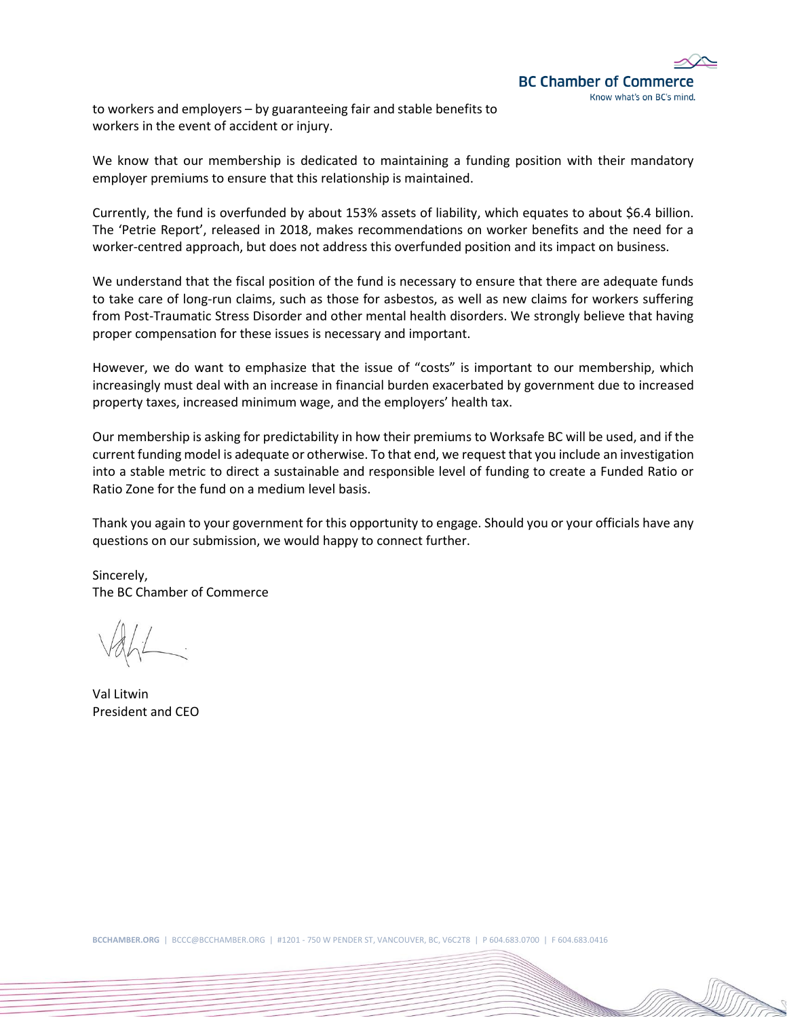

to workers and employers – by guaranteeing fair and stable benefits to workers in the event of accident or injury.

We know that our membership is dedicated to maintaining a funding position with their mandatory employer premiums to ensure that this relationship is maintained.

Currently, the fund is overfunded by about 153% assets of liability, which equates to about \$6.4 billion. The 'Petrie Report', released in 2018, makes recommendations on worker benefits and the need for a worker-centred approach, but does not address this overfunded position and its impact on business.

We understand that the fiscal position of the fund is necessary to ensure that there are adequate funds to take care of long-run claims, such as those for asbestos, as well as new claims for workers suffering from Post-Traumatic Stress Disorder and other mental health disorders. We strongly believe that having proper compensation for these issues is necessary and important.

However, we do want to emphasize that the issue of "costs" is important to our membership, which increasingly must deal with an increase in financial burden exacerbated by government due to increased property taxes, increased minimum wage, and the employers' health tax.

Our membership is asking for predictability in how their premiums to Worksafe BC will be used, and if the current funding model is adequate or otherwise. To that end, we request that you include an investigation into a stable metric to direct a sustainable and responsible level of funding to create a Funded Ratio or Ratio Zone for the fund on a medium level basis.

Thank you again to your government for this opportunity to engage. Should you or your officials have any questions on our submission, we would happy to connect further.

Sincerely, The BC Chamber of Commerce

Val Litwin President and CEO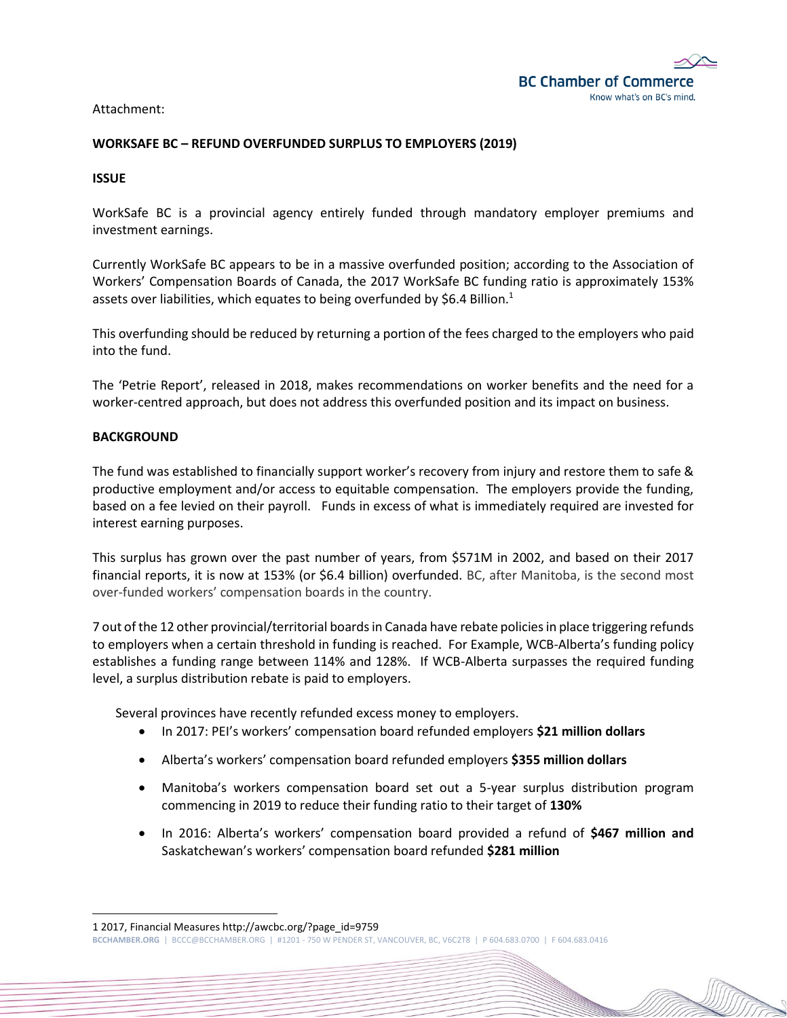

Attachment:

## **WORKSAFE BC – REFUND OVERFUNDED SURPLUS TO EMPLOYERS (2019)**

**ISSUE**

WorkSafe BC is a provincial agency entirely funded through mandatory employer premiums and investment earnings.

Currently WorkSafe BC appears to be in a massive overfunded position; according to the Association of Workers' Compensation Boards of Canada, the 2017 WorkSafe BC funding ratio is approximately 153% assets over liabilities, which equates to being overfunded by \$6.4 Billion.<sup>1</sup>

This overfunding should be reduced by returning a portion of the fees charged to the employers who paid into the fund.

The 'Petrie Report', released in 2018, makes recommendations on worker benefits and the need for a worker-centred approach, but does not address this overfunded position and its impact on business.

### **BACKGROUND**

The fund was established to financially support worker's recovery from injury and restore them to safe & productive employment and/or access to equitable compensation. The employers provide the funding, based on a fee levied on their payroll. Funds in excess of what is immediately required are invested for interest earning purposes.

This surplus has grown over the past number of years, from \$571M in 2002, and based on their 2017 financial reports, it is now at 153% (or \$6.4 billion) overfunded. BC, after Manitoba, is the second most over-funded workers' compensation boards in the country.

7 out of the 12 other provincial/territorial boards in Canada have rebate policies in place triggering refunds to employers when a certain threshold in funding is reached. For Example, WCB-Alberta's funding policy establishes a funding range between 114% and 128%. If WCB-Alberta surpasses the required funding level, a surplus distribution rebate is paid to employers.

Several provinces have recently refunded excess money to employers.

- In 2017: PEI's workers' compensation board refunded employers **\$21 million dollars**
- Alberta's workers' compensation board refunded employers **\$355 million dollars**
- Manitoba's workers compensation board set out a 5-year surplus distribution program commencing in 2019 to reduce their funding ratio to their target of **130%**
- In 2016: Alberta's workers' compensation board provided a refund of **\$467 million and**  Saskatchewan's workers' compensation board refunded **\$281 million**

1 2017, Financial Measures http://awcbc.org/?page\_id=9759

**BCCHAMBER.ORG** | BCCC@BCCHAMBER.ORG | #1201 - 750 W PENDER ST, VANCOUVER, BC, V6C2T8 | P 604.683.0700 | F 604.683.0416